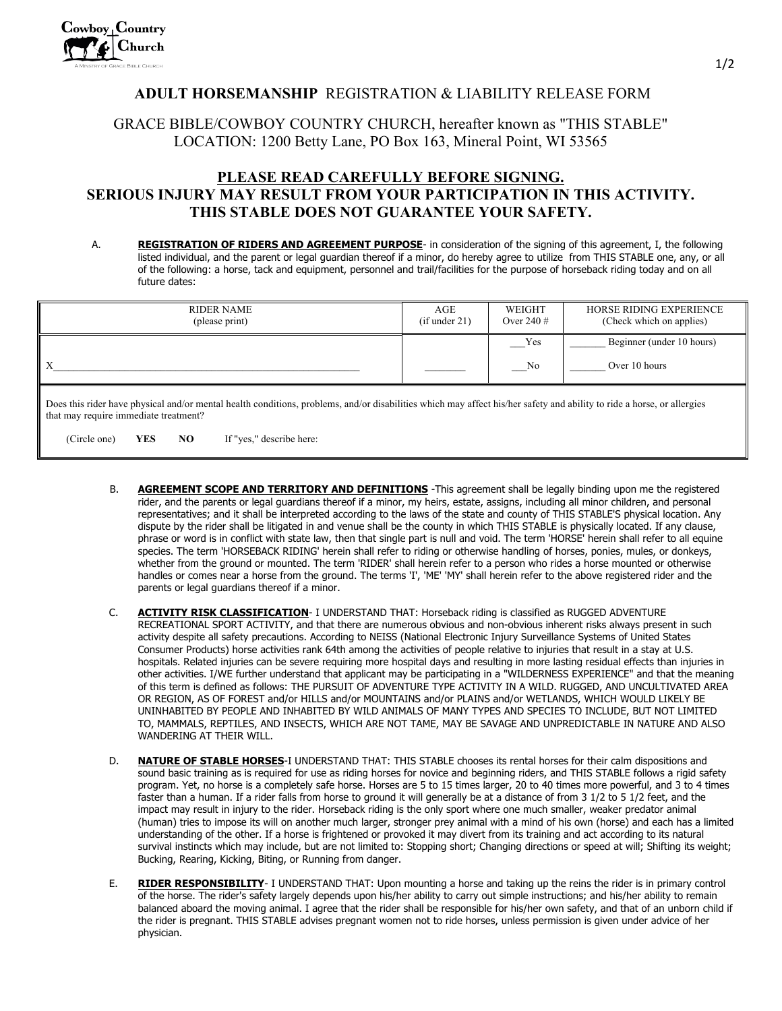## **ADULT HORSEMANSHIP** REGISTRATION & LIABILITY RELEASE FORM

## GRACE BIBLE/COWBOY COUNTRY CHURCH, hereafter known as "THIS STABLE" LOCATION: 1200 Betty Lane, PO Box 163, Mineral Point, WI 53565

## **PLEASE READ CAREFULLY BEFORE SIGNING. SERIOUS INJURY MAY RESULT FROM YOUR PARTICIPATION IN THIS ACTIVITY. THIS STABLE DOES NOT GUARANTEE YOUR SAFETY.**

A. **REGISTRATION OF RIDERS AND AGREEMENT PURPOSE**- in consideration of the signing of this agreement, I, the following listed individual, and the parent or legal guardian thereof if a minor, do hereby agree to utilize from THIS STABLE one, any, or all of the following: a horse, tack and equipment, personnel and trail/facilities for the purpose of horseback riding today and on all future dates:

| RIDER NAME<br>(please print) | AGE<br>(if under 21) | WEIGHT<br>Over 240 $#$ | HORSE RIDING EXPERIENCE<br>(Check which on applies) |
|------------------------------|----------------------|------------------------|-----------------------------------------------------|
|                              |                      | Yes                    | Beginner (under 10 hours)                           |
| X                            |                      | No                     | Over 10 hours                                       |
|                              |                      |                        |                                                     |

Does this rider have physical and/or mental health conditions, problems, and/or disabilities which may affect his/her safety and ability to ride a horse, or allergies that may require immediate treatment?

(Circle one) **YES NO** If "yes," describe here:

- B. **AGREEMENT SCOPE AND TERRITORY AND DEFINITIONS** -This agreement shall be legally binding upon me the registered rider, and the parents or legal guardians thereof if a minor, my heirs, estate, assigns, including all minor children, and personal representatives; and it shall be interpreted according to the laws of the state and county of THIS STABLE'S physical location. Any dispute by the rider shall be litigated in and venue shall be the county in which THIS STABLE is physically located. If any clause, phrase or word is in conflict with state law, then that single part is null and void. The term 'HORSE' herein shall refer to all equine species. The term 'HORSEBACK RIDING' herein shall refer to riding or otherwise handling of horses, ponies, mules, or donkeys, whether from the ground or mounted. The term 'RIDER' shall herein refer to a person who rides a horse mounted or otherwise handles or comes near a horse from the ground. The terms 'I', 'ME' 'MY' shall herein refer to the above registered rider and the parents or legal guardians thereof if a minor.
- C. **ACTIVITY RISK CLASSIFICATION** I UNDERSTAND THAT: Horseback riding is classified as RUGGED ADVENTURE RECREATIONAL SPORT ACTIVITY, and that there are numerous obvious and non-obvious inherent risks always present in such activity despite all safety precautions. According to NEISS (National Electronic Injury Surveillance Systems of United States Consumer Products) horse activities rank 64th among the activities of people relative to injuries that result in a stay at U.S. hospitals. Related injuries can be severe requiring more hospital days and resulting in more lasting residual effects than injuries in other activities. I/WE further understand that applicant may be participating in a "WILDERNESS EXPERIENCE" and that the meaning of this term is defined as follows: THE PURSUIT OF ADVENTURE TYPE ACTIVITY IN A WILD. RUGGED, AND UNCULTIVATED AREA OR REGION, AS OF FOREST and/or HILLS and/or MOUNTAINS and/or PLAINS and/or WETLANDS, WHICH WOULD LIKELY BE UNINHABITED BY PEOPLE AND INHABITED BY WILD ANIMALS OF MANY TYPES AND SPECIES TO INCLUDE, BUT NOT LIMITED TO, MAMMALS, REPTILES, AND INSECTS, WHICH ARE NOT TAME, MAY BE SAVAGE AND UNPREDICTABLE IN NATURE AND ALSO WANDERING AT THEIR WILL.
- D. **NATURE OF STABLE HORSES**-I UNDERSTAND THAT: THIS STABLE chooses its rental horses for their calm dispositions and sound basic training as is required for use as riding horses for novice and beginning riders, and THIS STABLE follows a rigid safety program. Yet, no horse is a completely safe horse. Horses are 5 to 15 times larger, 20 to 40 times more powerful, and 3 to 4 times faster than a human. If a rider falls from horse to ground it will generally be at a distance of from 3 1/2 to 5 1/2 feet, and the impact may result in injury to the rider. Horseback riding is the only sport where one much smaller, weaker predator animal (human) tries to impose its will on another much larger, stronger prey animal with a mind of his own (horse) and each has a limited understanding of the other. If a horse is frightened or provoked it may divert from its training and act according to its natural survival instincts which may include, but are not limited to: Stopping short; Changing directions or speed at will; Shifting its weight; Bucking, Rearing, Kicking, Biting, or Running from danger.
- E. **RIDER RESPONSIBILITY** I UNDERSTAND THAT: Upon mounting a horse and taking up the reins the rider is in primary control of the horse. The rider's safety largely depends upon his/her ability to carry out simple instructions; and his/her ability to remain balanced aboard the moving animal. I agree that the rider shall be responsible for his/her own safety, and that of an unborn child if the rider is pregnant. THIS STABLE advises pregnant women not to ride horses, unless permission is given under advice of her physician.